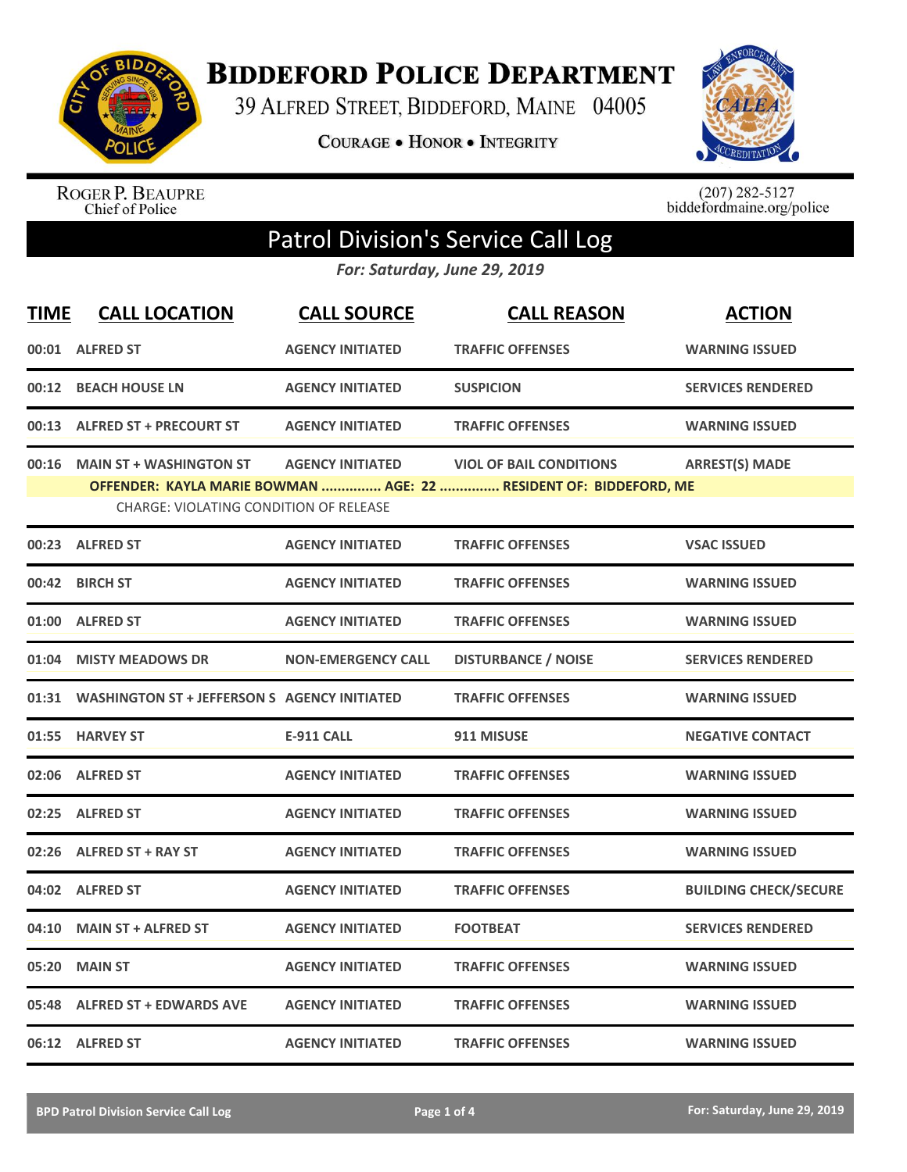

**BIDDEFORD POLICE DEPARTMENT** 

39 ALFRED STREET, BIDDEFORD, MAINE 04005

**COURAGE . HONOR . INTEGRITY** 



ROGER P. BEAUPRE<br>Chief of Police

 $(207)$  282-5127<br>biddefordmaine.org/police

## Patrol Division's Service Call Log

*For: Saturday, June 29, 2019*

| <b>TIME</b> | <b>CALL LOCATION</b>                                                           | <b>CALL SOURCE</b>        | <b>CALL REASON</b>                                                                                  | <b>ACTION</b>                |
|-------------|--------------------------------------------------------------------------------|---------------------------|-----------------------------------------------------------------------------------------------------|------------------------------|
|             | 00:01 ALFRED ST                                                                | <b>AGENCY INITIATED</b>   | <b>TRAFFIC OFFENSES</b>                                                                             | <b>WARNING ISSUED</b>        |
|             | 00:12 BEACH HOUSE LN                                                           | <b>AGENCY INITIATED</b>   | <b>SUSPICION</b>                                                                                    | <b>SERVICES RENDERED</b>     |
|             | 00:13 ALFRED ST + PRECOURT ST                                                  | <b>AGENCY INITIATED</b>   | <b>TRAFFIC OFFENSES</b>                                                                             | <b>WARNING ISSUED</b>        |
|             | 00:16 MAIN ST + WASHINGTON ST<br><b>CHARGE: VIOLATING CONDITION OF RELEASE</b> | <b>AGENCY INITIATED</b>   | <b>VIOL OF BAIL CONDITIONS</b><br>OFFENDER: KAYLA MARIE BOWMAN  AGE: 22  RESIDENT OF: BIDDEFORD, ME | <b>ARREST(S) MADE</b>        |
|             | 00:23 ALFRED ST                                                                | <b>AGENCY INITIATED</b>   | <b>TRAFFIC OFFENSES</b>                                                                             | <b>VSAC ISSUED</b>           |
|             | 00:42 BIRCH ST                                                                 | <b>AGENCY INITIATED</b>   | <b>TRAFFIC OFFENSES</b>                                                                             | <b>WARNING ISSUED</b>        |
|             | 01:00 ALFRED ST                                                                | <b>AGENCY INITIATED</b>   | <b>TRAFFIC OFFENSES</b>                                                                             | <b>WARNING ISSUED</b>        |
|             | 01:04 MISTY MEADOWS DR                                                         | <b>NON-EMERGENCY CALL</b> | <b>DISTURBANCE / NOISE</b>                                                                          | <b>SERVICES RENDERED</b>     |
|             | 01:31 WASHINGTON ST + JEFFERSON S AGENCY INITIATED                             |                           | <b>TRAFFIC OFFENSES</b>                                                                             | <b>WARNING ISSUED</b>        |
|             | 01:55 HARVEY ST                                                                | <b>E-911 CALL</b>         | 911 MISUSE                                                                                          | <b>NEGATIVE CONTACT</b>      |
|             | 02:06 ALFRED ST                                                                | <b>AGENCY INITIATED</b>   | <b>TRAFFIC OFFENSES</b>                                                                             | <b>WARNING ISSUED</b>        |
|             | 02:25 ALFRED ST                                                                | <b>AGENCY INITIATED</b>   | <b>TRAFFIC OFFENSES</b>                                                                             | <b>WARNING ISSUED</b>        |
|             | 02:26 ALFRED ST + RAY ST                                                       | <b>AGENCY INITIATED</b>   | <b>TRAFFIC OFFENSES</b>                                                                             | <b>WARNING ISSUED</b>        |
|             | 04:02 ALFRED ST                                                                | <b>AGENCY INITIATED</b>   | <b>TRAFFIC OFFENSES</b>                                                                             | <b>BUILDING CHECK/SECURE</b> |
|             | 04:10 MAIN ST + ALFRED ST                                                      | <b>AGENCY INITIATED</b>   | <b>FOOTBEAT</b>                                                                                     | <b>SERVICES RENDERED</b>     |
|             | 05:20 MAIN ST                                                                  | <b>AGENCY INITIATED</b>   | <b>TRAFFIC OFFENSES</b>                                                                             | <b>WARNING ISSUED</b>        |
|             | 05:48 ALFRED ST + EDWARDS AVE                                                  | <b>AGENCY INITIATED</b>   | <b>TRAFFIC OFFENSES</b>                                                                             | <b>WARNING ISSUED</b>        |
|             | 06:12 ALFRED ST                                                                | <b>AGENCY INITIATED</b>   | <b>TRAFFIC OFFENSES</b>                                                                             | <b>WARNING ISSUED</b>        |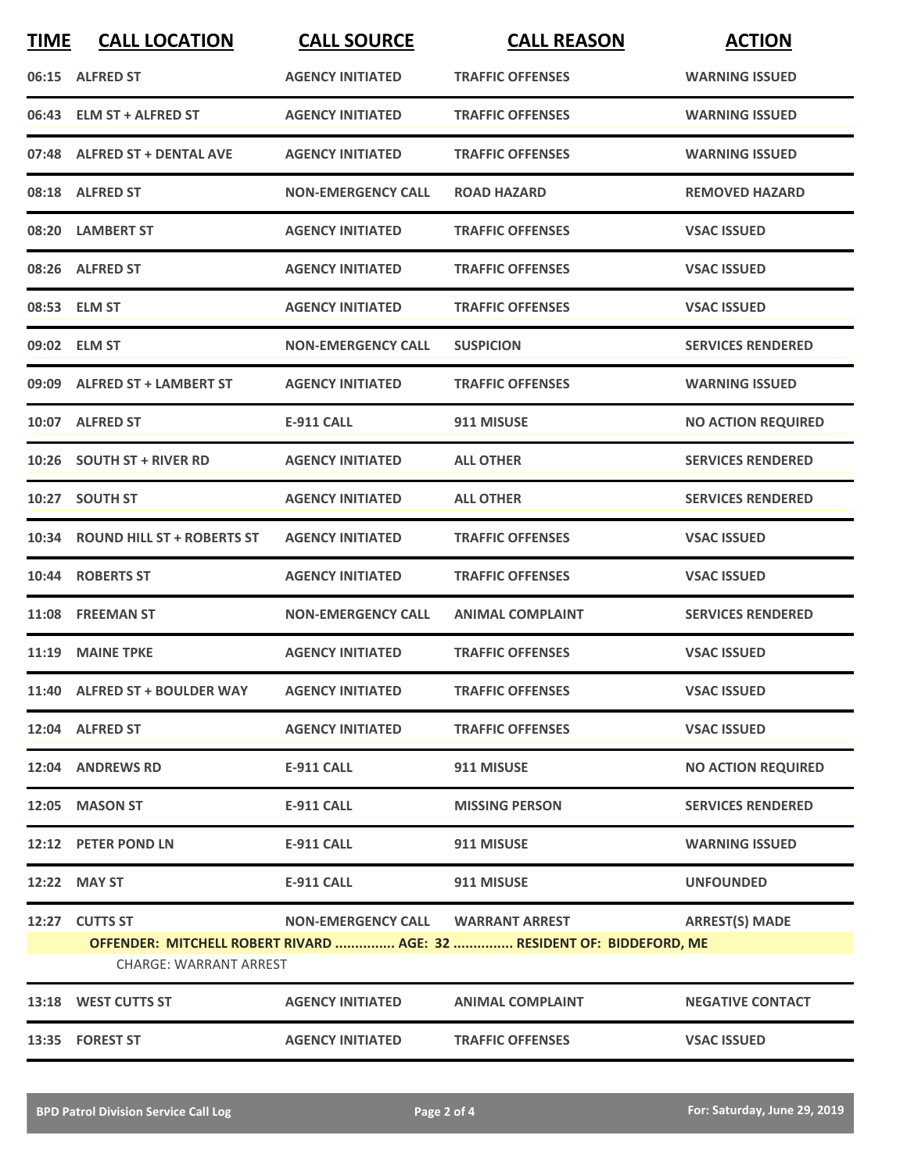| <b>TIME</b> | <b>CALL LOCATION</b>                           | <b>CALL SOURCE</b>                | <b>CALL REASON</b>                                                    | <b>ACTION</b>             |
|-------------|------------------------------------------------|-----------------------------------|-----------------------------------------------------------------------|---------------------------|
|             | 06:15 ALFRED ST                                | <b>AGENCY INITIATED</b>           | <b>TRAFFIC OFFENSES</b>                                               | <b>WARNING ISSUED</b>     |
|             | 06:43 ELM ST + ALFRED ST                       | <b>AGENCY INITIATED</b>           | <b>TRAFFIC OFFENSES</b>                                               | <b>WARNING ISSUED</b>     |
|             | 07:48 ALFRED ST + DENTAL AVE                   | <b>AGENCY INITIATED</b>           | <b>TRAFFIC OFFENSES</b>                                               | <b>WARNING ISSUED</b>     |
|             | 08:18 ALFRED ST                                | <b>NON-EMERGENCY CALL</b>         | <b>ROAD HAZARD</b>                                                    | <b>REMOVED HAZARD</b>     |
|             | 08:20 LAMBERT ST                               | <b>AGENCY INITIATED</b>           | <b>TRAFFIC OFFENSES</b>                                               | <b>VSAC ISSUED</b>        |
|             | 08:26 ALFRED ST                                | <b>AGENCY INITIATED</b>           | <b>TRAFFIC OFFENSES</b>                                               | <b>VSAC ISSUED</b>        |
|             | 08:53 ELM ST                                   | <b>AGENCY INITIATED</b>           | <b>TRAFFIC OFFENSES</b>                                               | <b>VSAC ISSUED</b>        |
|             | 09:02 ELM ST                                   | <b>NON-EMERGENCY CALL</b>         | <b>SUSPICION</b>                                                      | <b>SERVICES RENDERED</b>  |
|             | 09:09 ALFRED ST + LAMBERT ST                   | <b>AGENCY INITIATED</b>           | <b>TRAFFIC OFFENSES</b>                                               | <b>WARNING ISSUED</b>     |
|             | 10:07 ALFRED ST                                | E-911 CALL                        | 911 MISUSE                                                            | <b>NO ACTION REQUIRED</b> |
|             | 10:26 SOUTH ST + RIVER RD                      | <b>AGENCY INITIATED</b>           | <b>ALL OTHER</b>                                                      | <b>SERVICES RENDERED</b>  |
|             | 10:27 SOUTH ST                                 | <b>AGENCY INITIATED</b>           | <b>ALL OTHER</b>                                                      | <b>SERVICES RENDERED</b>  |
|             | 10:34 ROUND HILL ST + ROBERTS ST               | <b>AGENCY INITIATED</b>           | <b>TRAFFIC OFFENSES</b>                                               | <b>VSAC ISSUED</b>        |
|             | 10:44 ROBERTS ST                               | <b>AGENCY INITIATED</b>           | <b>TRAFFIC OFFENSES</b>                                               | <b>VSAC ISSUED</b>        |
|             | 11:08 FREEMAN ST                               | <b>NON-EMERGENCY CALL</b>         | <b>ANIMAL COMPLAINT</b>                                               | <b>SERVICES RENDERED</b>  |
|             | 11:19 MAINE TPKE                               | <b>AGENCY INITIATED</b>           | <b>TRAFFIC OFFENSES</b>                                               | <b>VSAC ISSUED</b>        |
|             | 11:40 ALFRED ST + BOULDER WAY AGENCY INITIATED |                                   | <b>TRAFFIC OFFENSES</b>                                               | <b>VSAC ISSUED</b>        |
|             | 12:04 ALFRED ST                                | <b>AGENCY INITIATED</b>           | <b>TRAFFIC OFFENSES</b>                                               | <b>VSAC ISSUED</b>        |
|             | 12:04 ANDREWS RD                               | E-911 CALL                        | 911 MISUSE                                                            | <b>NO ACTION REQUIRED</b> |
|             | 12:05 MASON ST                                 | E-911 CALL                        | <b>MISSING PERSON</b>                                                 | <b>SERVICES RENDERED</b>  |
|             | 12:12 PETER POND LN                            | <b>E-911 CALL</b>                 | 911 MISUSE                                                            | <b>WARNING ISSUED</b>     |
|             | 12:22 MAY ST                                   | <b>E-911 CALL</b>                 | 911 MISUSE                                                            | <b>UNFOUNDED</b>          |
|             | 12:27 CUTTS ST                                 | NON-EMERGENCY CALL WARRANT ARREST |                                                                       | <b>ARREST(S) MADE</b>     |
|             | <b>CHARGE: WARRANT ARREST</b>                  |                                   | OFFENDER: MITCHELL ROBERT RIVARD  AGE: 32  RESIDENT OF: BIDDEFORD, ME |                           |
|             | 13:18 WEST CUTTS ST                            | <b>AGENCY INITIATED</b>           | <b>ANIMAL COMPLAINT</b>                                               | <b>NEGATIVE CONTACT</b>   |
|             | 13:35 FOREST ST                                | <b>AGENCY INITIATED</b>           | <b>TRAFFIC OFFENSES</b>                                               | <b>VSAC ISSUED</b>        |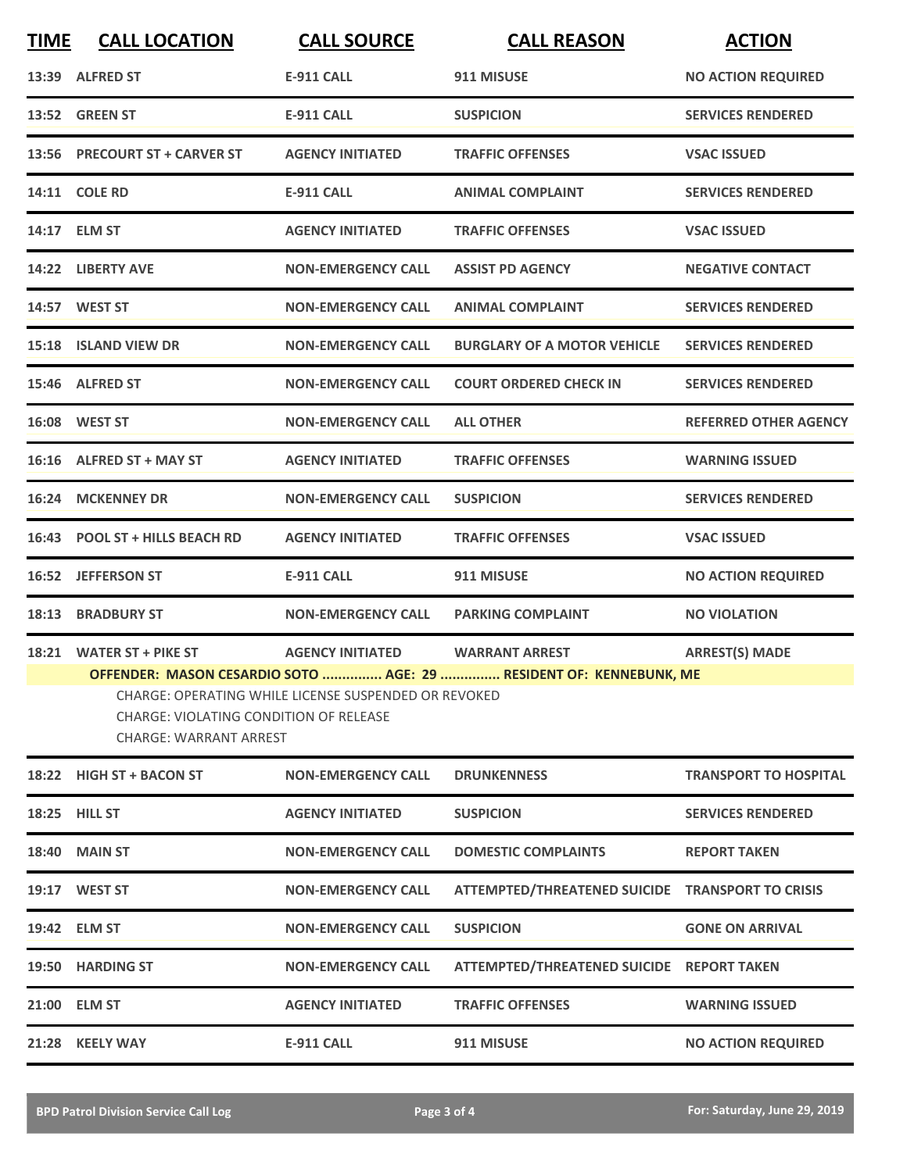| <b>TIME</b> | <b>CALL LOCATION</b>                                                                                                                                                                                  | <b>CALL SOURCE</b>        | <b>CALL REASON</b>                               | <b>ACTION</b>                |  |
|-------------|-------------------------------------------------------------------------------------------------------------------------------------------------------------------------------------------------------|---------------------------|--------------------------------------------------|------------------------------|--|
|             | 13:39 ALFRED ST                                                                                                                                                                                       | <b>E-911 CALL</b>         | 911 MISUSE                                       | <b>NO ACTION REQUIRED</b>    |  |
|             | 13:52 GREEN ST                                                                                                                                                                                        | <b>E-911 CALL</b>         | <b>SUSPICION</b>                                 | <b>SERVICES RENDERED</b>     |  |
|             | 13:56 PRECOURT ST + CARVER ST                                                                                                                                                                         | <b>AGENCY INITIATED</b>   | <b>TRAFFIC OFFENSES</b>                          | <b>VSAC ISSUED</b>           |  |
|             | 14:11 COLE RD                                                                                                                                                                                         | <b>E-911 CALL</b>         | <b>ANIMAL COMPLAINT</b>                          | <b>SERVICES RENDERED</b>     |  |
|             | 14:17 ELM ST                                                                                                                                                                                          | <b>AGENCY INITIATED</b>   | <b>TRAFFIC OFFENSES</b>                          | <b>VSAC ISSUED</b>           |  |
|             | 14:22 LIBERTY AVE                                                                                                                                                                                     | <b>NON-EMERGENCY CALL</b> | <b>ASSIST PD AGENCY</b>                          | <b>NEGATIVE CONTACT</b>      |  |
|             | 14:57 WEST ST                                                                                                                                                                                         | <b>NON-EMERGENCY CALL</b> | <b>ANIMAL COMPLAINT</b>                          | <b>SERVICES RENDERED</b>     |  |
|             | 15:18 ISLAND VIEW DR                                                                                                                                                                                  | <b>NON-EMERGENCY CALL</b> | <b>BURGLARY OF A MOTOR VEHICLE</b>               | <b>SERVICES RENDERED</b>     |  |
|             | 15:46 ALFRED ST                                                                                                                                                                                       | <b>NON-EMERGENCY CALL</b> | <b>COURT ORDERED CHECK IN</b>                    | <b>SERVICES RENDERED</b>     |  |
|             | 16:08 WEST ST                                                                                                                                                                                         | <b>NON-EMERGENCY CALL</b> | <b>ALL OTHER</b>                                 | <b>REFERRED OTHER AGENCY</b> |  |
|             | 16:16 ALFRED ST + MAY ST                                                                                                                                                                              | <b>AGENCY INITIATED</b>   | <b>TRAFFIC OFFENSES</b>                          | <b>WARNING ISSUED</b>        |  |
|             | 16:24 MCKENNEY DR                                                                                                                                                                                     | <b>NON-EMERGENCY CALL</b> | <b>SUSPICION</b>                                 | <b>SERVICES RENDERED</b>     |  |
|             | 16:43 POOL ST + HILLS BEACH RD                                                                                                                                                                        | <b>AGENCY INITIATED</b>   | <b>TRAFFIC OFFENSES</b>                          | <b>VSAC ISSUED</b>           |  |
|             | 16:52 JEFFERSON ST                                                                                                                                                                                    | <b>E-911 CALL</b>         | 911 MISUSE                                       | <b>NO ACTION REQUIRED</b>    |  |
|             | <b>18:13 BRADBURY ST</b>                                                                                                                                                                              | <b>NON-EMERGENCY CALL</b> | <b>PARKING COMPLAINT</b>                         | <b>NO VIOLATION</b>          |  |
|             | 18:21 WATER ST + PIKE ST                                                                                                                                                                              | <b>AGENCY INITIATED</b>   | <b>WARRANT ARREST</b>                            | <b>ARREST(S) MADE</b>        |  |
|             | OFFENDER: MASON CESARDIO SOTO  AGE: 29  RESIDENT OF: KENNEBUNK, ME<br>CHARGE: OPERATING WHILE LICENSE SUSPENDED OR REVOKED<br>CHARGE: VIOLATING CONDITION OF RELEASE<br><b>CHARGE: WARRANT ARREST</b> |                           |                                                  |                              |  |
|             | 18:22 HIGH ST + BACON ST                                                                                                                                                                              | <b>NON-EMERGENCY CALL</b> | <b>DRUNKENNESS</b>                               | <b>TRANSPORT TO HOSPITAL</b> |  |
|             | 18:25 HILL ST                                                                                                                                                                                         | <b>AGENCY INITIATED</b>   | <b>SUSPICION</b>                                 | <b>SERVICES RENDERED</b>     |  |
|             | <b>18:40 MAIN ST</b>                                                                                                                                                                                  | <b>NON-EMERGENCY CALL</b> | <b>DOMESTIC COMPLAINTS</b>                       | <b>REPORT TAKEN</b>          |  |
|             | 19:17 WEST ST                                                                                                                                                                                         | <b>NON-EMERGENCY CALL</b> | ATTEMPTED/THREATENED SUICIDE TRANSPORT TO CRISIS |                              |  |
|             | 19:42 ELM ST                                                                                                                                                                                          | <b>NON-EMERGENCY CALL</b> | <b>SUSPICION</b>                                 | <b>GONE ON ARRIVAL</b>       |  |
|             | 19:50 HARDING ST                                                                                                                                                                                      | <b>NON-EMERGENCY CALL</b> | ATTEMPTED/THREATENED SUICIDE REPORT TAKEN        |                              |  |
|             | 21:00 ELM ST                                                                                                                                                                                          | <b>AGENCY INITIATED</b>   | <b>TRAFFIC OFFENSES</b>                          | <b>WARNING ISSUED</b>        |  |
|             | 21:28 KEELY WAY                                                                                                                                                                                       | <b>E-911 CALL</b>         | 911 MISUSE                                       | <b>NO ACTION REQUIRED</b>    |  |